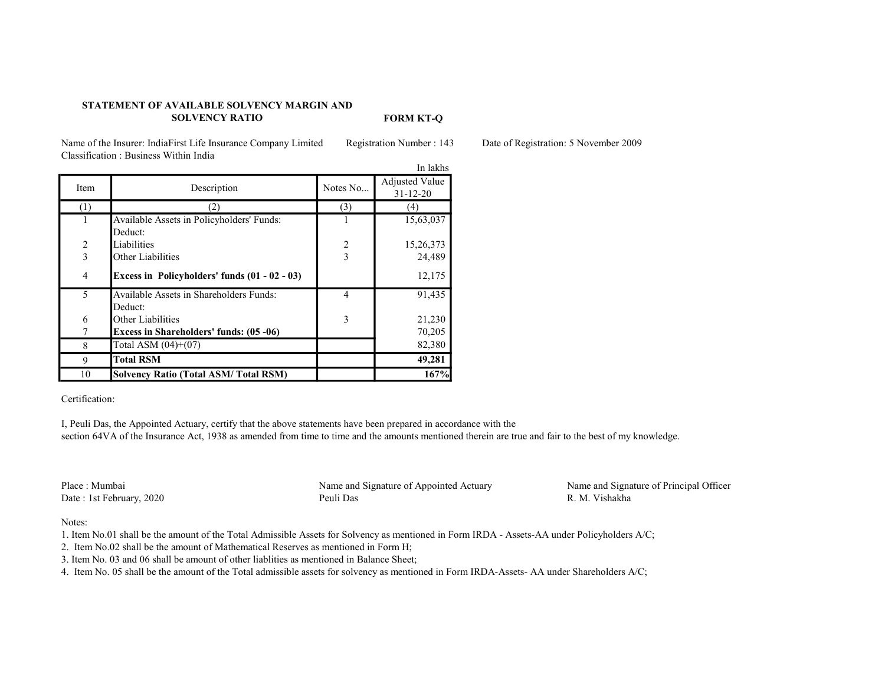## STATEMENT OF AVAILABLE SOLVENCY MARGIN AND SOLVENCY RATIO

FORM KT-Q

Name of the Insurer: IndiaFirst Life Insurance Company Limited Registration Number : 143 Date of Registration: 5 November 2009 Classification : Business Within India

|                          |                                                |                | In lakhs              |
|--------------------------|------------------------------------------------|----------------|-----------------------|
| Item                     | Description                                    | Notes No       | <b>Adjusted Value</b> |
|                          |                                                |                | $31 - 12 - 20$        |
| (1)                      | 21                                             | (3)            | 4)                    |
| 1                        | Available Assets in Policyholders' Funds:      |                | 15,63,037             |
|                          | Deduct:                                        |                |                       |
| $\overline{2}$           | Liabilities                                    | $\overline{2}$ | 15,26,373             |
| 3                        | Other Liabilities                              | $\overline{3}$ | 24,489                |
| $\overline{4}$           | Excess in Policyholders' funds (01 - 02 - 03)  |                | 12,175                |
| $\overline{\phantom{0}}$ | Available Assets in Shareholders Funds:        | 4              | 91,435                |
|                          | Deduct:                                        |                |                       |
| 6                        | Other Liabilities                              | 3              | 21,230                |
|                          | <b>Excess in Shareholders' funds: (05 -06)</b> |                | 70,205                |
| 8                        | Total ASM $(04)+(07)$                          |                | 82,380                |
| 9                        | <b>Total RSM</b>                               |                | 49,281                |
| 10                       | <b>Solvency Ratio (Total ASM/Total RSM)</b>    |                | 167%                  |

Certification:

I, Peuli Das, the Appointed Actuary, certify that the above statements have been prepared in accordance with the section 64VA of the Insurance Act, 1938 as amended from time to time and the amounts mentioned therein are true and fair to the best of my knowledge.

Date : 1st February, 2020 Peuli Das

Place : Mumbai Name and Signature of Appointed Actuary Name and Signature of Principal Officer<br>
Date : 1st February 2020 Peuli Das Peuli Das R. M. Vishakha

Notes:

1. Item No.01 shall be the amount of the Total Admissible Assets for Solvency as mentioned in Form IRDA - Assets-AA under Policyholders A/C;

2. Item No.02 shall be the amount of Mathematical Reserves as mentioned in Form H;

3. Item No. 03 and 06 shall be amount of other liablities as mentioned in Balance Sheet;

4. Item No. 05 shall be the amount of the Total admissible assets for solvency as mentioned in Form IRDA-Assets- AA under Shareholders A/C;